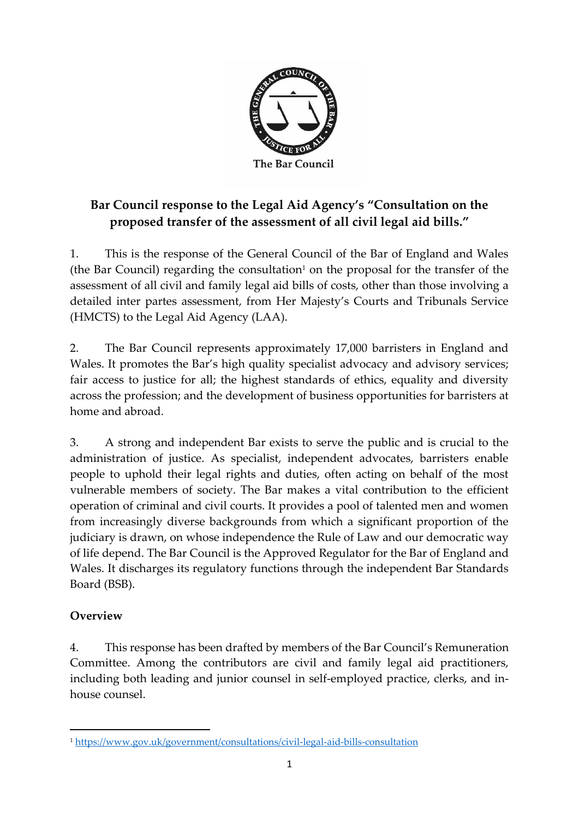

## **Bar Council response to the Legal Aid Agency's "Consultation on the proposed transfer of the assessment of all civil legal aid bills."**

1. This is the response of the General Council of the Bar of England and Wales (the Bar Council) regarding the consultation<sup>1</sup> on the proposal for the transfer of the assessment of all civil and family legal aid bills of costs, other than those involving a detailed inter partes assessment, from Her Majesty's Courts and Tribunals Service (HMCTS) to the Legal Aid Agency (LAA).

2. The Bar Council represents approximately 17,000 barristers in England and Wales. It promotes the Bar's high quality specialist advocacy and advisory services; fair access to justice for all; the highest standards of ethics, equality and diversity across the profession; and the development of business opportunities for barristers at home and abroad.

3. A strong and independent Bar exists to serve the public and is crucial to the administration of justice. As specialist, independent advocates, barristers enable people to uphold their legal rights and duties, often acting on behalf of the most vulnerable members of society. The Bar makes a vital contribution to the efficient operation of criminal and civil courts. It provides a pool of talented men and women from increasingly diverse backgrounds from which a significant proportion of the judiciary is drawn, on whose independence the Rule of Law and our democratic way of life depend. The Bar Council is the Approved Regulator for the Bar of England and Wales. It discharges its regulatory functions through the independent Bar Standards Board (BSB).

## **Overview**

4. This response has been drafted by members of the Bar Council's Remuneration Committee. Among the contributors are civil and family legal aid practitioners, including both leading and junior counsel in self-employed practice, clerks, and inhouse counsel.

<sup>1</sup> <https://www.gov.uk/government/consultations/civil-legal-aid-bills-consultation>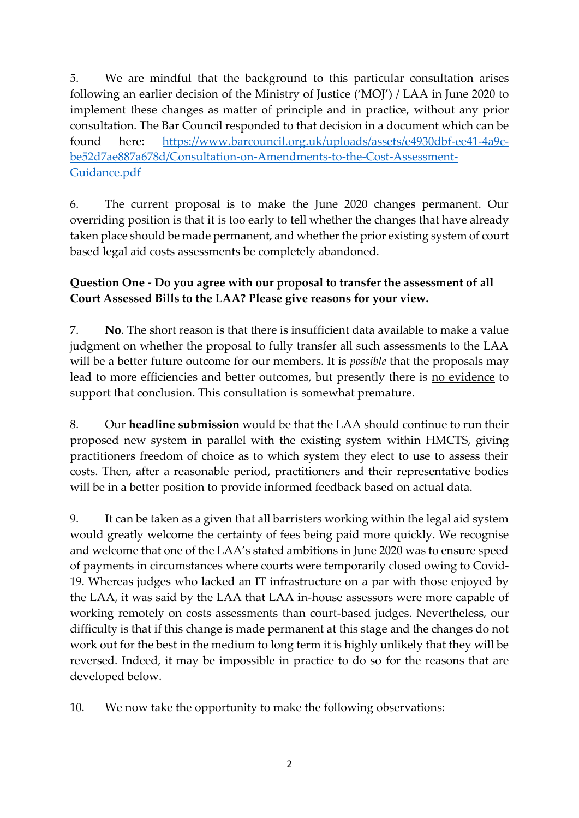5. We are mindful that the background to this particular consultation arises following an earlier decision of the Ministry of Justice ('MOJ') / LAA in June 2020 to implement these changes as matter of principle and in practice, without any prior consultation. The Bar Council responded to that decision in a document which can be found here: [https://www.barcouncil.org.uk/uploads/assets/e4930dbf-ee41-4a9c](https://www.barcouncil.org.uk/uploads/assets/e4930dbf-ee41-4a9c-be52d7ae887a678d/Consultation-on-Amendments-to-the-Cost-Assessment-Guidance.pdf)[be52d7ae887a678d/Consultation-on-Amendments-to-the-Cost-Assessment-](https://www.barcouncil.org.uk/uploads/assets/e4930dbf-ee41-4a9c-be52d7ae887a678d/Consultation-on-Amendments-to-the-Cost-Assessment-Guidance.pdf)[Guidance.pdf](https://www.barcouncil.org.uk/uploads/assets/e4930dbf-ee41-4a9c-be52d7ae887a678d/Consultation-on-Amendments-to-the-Cost-Assessment-Guidance.pdf)

6. The current proposal is to make the June 2020 changes permanent. Our overriding position is that it is too early to tell whether the changes that have already taken place should be made permanent, and whether the prior existing system of court based legal aid costs assessments be completely abandoned.

## **Question One - Do you agree with our proposal to transfer the assessment of all Court Assessed Bills to the LAA? Please give reasons for your view.**

7. **No**. The short reason is that there is insufficient data available to make a value judgment on whether the proposal to fully transfer all such assessments to the LAA will be a better future outcome for our members. It is *possible* that the proposals may lead to more efficiencies and better outcomes, but presently there is no evidence to support that conclusion. This consultation is somewhat premature.

8. Our **headline submission** would be that the LAA should continue to run their proposed new system in parallel with the existing system within HMCTS, giving practitioners freedom of choice as to which system they elect to use to assess their costs. Then, after a reasonable period, practitioners and their representative bodies will be in a better position to provide informed feedback based on actual data.

9. It can be taken as a given that all barristers working within the legal aid system would greatly welcome the certainty of fees being paid more quickly. We recognise and welcome that one of the LAA's stated ambitions in June 2020 was to ensure speed of payments in circumstances where courts were temporarily closed owing to Covid-19. Whereas judges who lacked an IT infrastructure on a par with those enjoyed by the LAA, it was said by the LAA that LAA in-house assessors were more capable of working remotely on costs assessments than court-based judges. Nevertheless, our difficulty is that if this change is made permanent at this stage and the changes do not work out for the best in the medium to long term it is highly unlikely that they will be reversed. Indeed, it may be impossible in practice to do so for the reasons that are developed below.

10. We now take the opportunity to make the following observations: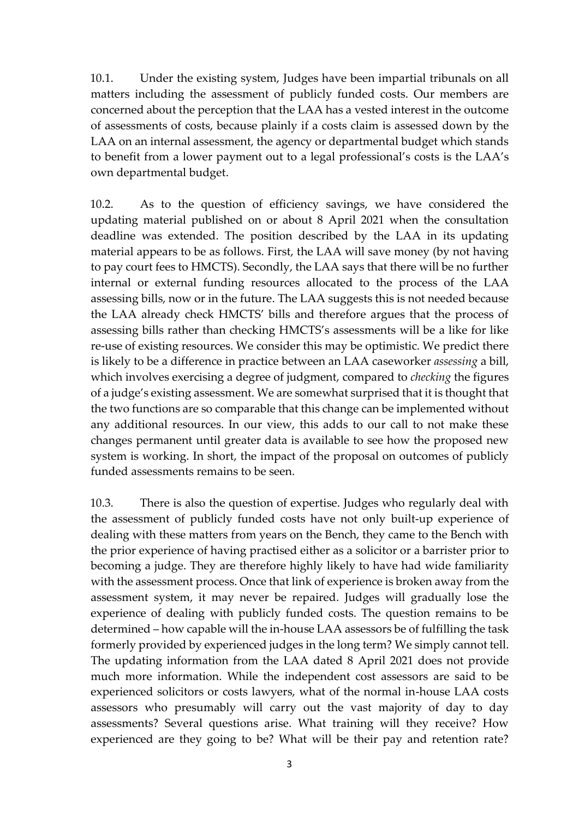10.1. Under the existing system, Judges have been impartial tribunals on all matters including the assessment of publicly funded costs. Our members are concerned about the perception that the LAA has a vested interest in the outcome of assessments of costs, because plainly if a costs claim is assessed down by the LAA on an internal assessment, the agency or departmental budget which stands to benefit from a lower payment out to a legal professional's costs is the LAA's own departmental budget.

10.2. As to the question of efficiency savings, we have considered the updating material published on or about 8 April 2021 when the consultation deadline was extended. The position described by the LAA in its updating material appears to be as follows. First, the LAA will save money (by not having to pay court fees to HMCTS). Secondly, the LAA says that there will be no further internal or external funding resources allocated to the process of the LAA assessing bills, now or in the future. The LAA suggests this is not needed because the LAA already check HMCTS' bills and therefore argues that the process of assessing bills rather than checking HMCTS's assessments will be a like for like re-use of existing resources. We consider this may be optimistic. We predict there is likely to be a difference in practice between an LAA caseworker *assessing* a bill, which involves exercising a degree of judgment, compared to *checking* the figures of a judge's existing assessment. We are somewhat surprised that it is thought that the two functions are so comparable that this change can be implemented without any additional resources. In our view, this adds to our call to not make these changes permanent until greater data is available to see how the proposed new system is working. In short, the impact of the proposal on outcomes of publicly funded assessments remains to be seen.

10.3. There is also the question of expertise. Judges who regularly deal with the assessment of publicly funded costs have not only built-up experience of dealing with these matters from years on the Bench, they came to the Bench with the prior experience of having practised either as a solicitor or a barrister prior to becoming a judge. They are therefore highly likely to have had wide familiarity with the assessment process. Once that link of experience is broken away from the assessment system, it may never be repaired. Judges will gradually lose the experience of dealing with publicly funded costs. The question remains to be determined – how capable will the in-house LAA assessors be of fulfilling the task formerly provided by experienced judges in the long term? We simply cannot tell. The updating information from the LAA dated 8 April 2021 does not provide much more information. While the independent cost assessors are said to be experienced solicitors or costs lawyers, what of the normal in-house LAA costs assessors who presumably will carry out the vast majority of day to day assessments? Several questions arise. What training will they receive? How experienced are they going to be? What will be their pay and retention rate?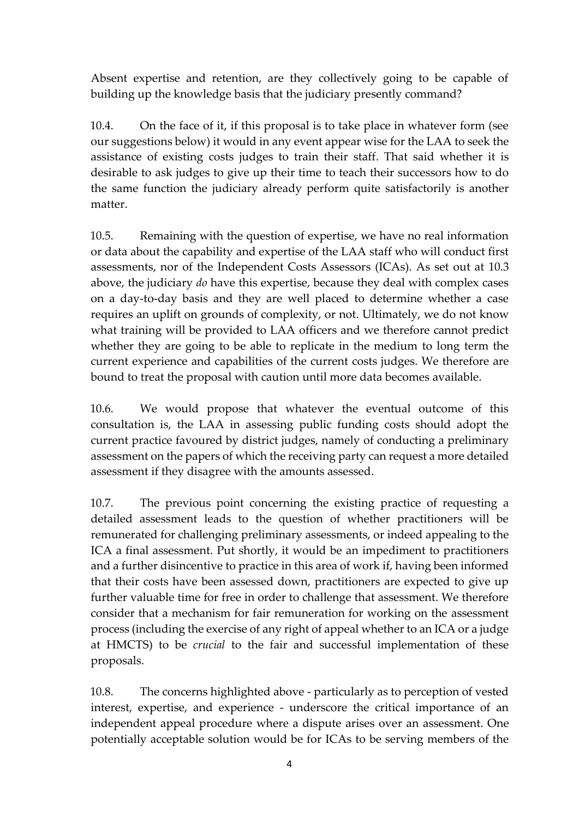Absent expertise and retention, are they collectively going to be capable of building up the knowledge basis that the judiciary presently command?

10.4. On the face of it, if this proposal is to take place in whatever form (see our suggestions below) it would in any event appear wise for the LAA to seek the assistance of existing costs judges to train their staff. That said whether it is desirable to ask judges to give up their time to teach their successors how to do the same function the judiciary already perform quite satisfactorily is another matter.

10.5. Remaining with the question of expertise, we have no real information or data about the capability and expertise of the LAA staff who will conduct first assessments, nor of the Independent Costs Assessors (ICAs). As set out at 10.3 above, the judiciary *do* have this expertise, because they deal with complex cases on a day-to-day basis and they are well placed to determine whether a case requires an uplift on grounds of complexity, or not. Ultimately, we do not know what training will be provided to LAA officers and we therefore cannot predict whether they are going to be able to replicate in the medium to long term the current experience and capabilities of the current costs judges. We therefore are bound to treat the proposal with caution until more data becomes available.

10.6. We would propose that whatever the eventual outcome of this consultation is, the LAA in assessing public funding costs should adopt the current practice favoured by district judges, namely of conducting a preliminary assessment on the papers of which the receiving party can request a more detailed assessment if they disagree with the amounts assessed.

10.7. The previous point concerning the existing practice of requesting a detailed assessment leads to the question of whether practitioners will be remunerated for challenging preliminary assessments, or indeed appealing to the ICA a final assessment. Put shortly, it would be an impediment to practitioners and a further disincentive to practice in this area of work if, having been informed that their costs have been assessed down, practitioners are expected to give up further valuable time for free in order to challenge that assessment. We therefore consider that a mechanism for fair remuneration for working on the assessment process (including the exercise of any right of appeal whether to an ICA or a judge at HMCTS) to be *crucial* to the fair and successful implementation of these proposals.

10.8. The concerns highlighted above - particularly as to perception of vested interest, expertise, and experience - underscore the critical importance of an independent appeal procedure where a dispute arises over an assessment. One potentially acceptable solution would be for ICAs to be serving members of the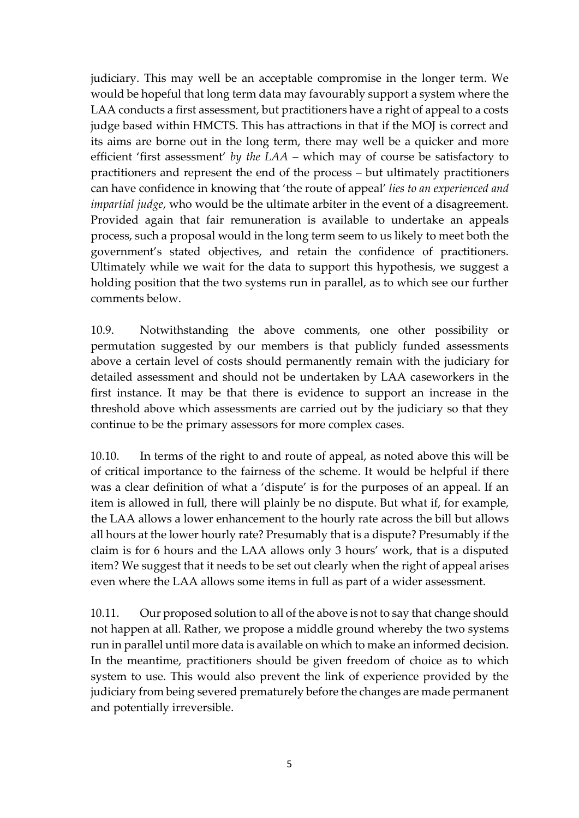judiciary. This may well be an acceptable compromise in the longer term. We would be hopeful that long term data may favourably support a system where the LAA conducts a first assessment, but practitioners have a right of appeal to a costs judge based within HMCTS. This has attractions in that if the MOJ is correct and its aims are borne out in the long term, there may well be a quicker and more efficient 'first assessment' *by the LAA* – which may of course be satisfactory to practitioners and represent the end of the process – but ultimately practitioners can have confidence in knowing that 'the route of appeal' *lies to an experienced and impartial judge*, who would be the ultimate arbiter in the event of a disagreement. Provided again that fair remuneration is available to undertake an appeals process, such a proposal would in the long term seem to us likely to meet both the government's stated objectives, and retain the confidence of practitioners. Ultimately while we wait for the data to support this hypothesis, we suggest a holding position that the two systems run in parallel, as to which see our further comments below.

10.9. Notwithstanding the above comments, one other possibility or permutation suggested by our members is that publicly funded assessments above a certain level of costs should permanently remain with the judiciary for detailed assessment and should not be undertaken by LAA caseworkers in the first instance. It may be that there is evidence to support an increase in the threshold above which assessments are carried out by the judiciary so that they continue to be the primary assessors for more complex cases.

10.10. In terms of the right to and route of appeal, as noted above this will be of critical importance to the fairness of the scheme. It would be helpful if there was a clear definition of what a 'dispute' is for the purposes of an appeal. If an item is allowed in full, there will plainly be no dispute. But what if, for example, the LAA allows a lower enhancement to the hourly rate across the bill but allows all hours at the lower hourly rate? Presumably that is a dispute? Presumably if the claim is for 6 hours and the LAA allows only 3 hours' work, that is a disputed item? We suggest that it needs to be set out clearly when the right of appeal arises even where the LAA allows some items in full as part of a wider assessment.

10.11. Our proposed solution to all of the above is not to say that change should not happen at all. Rather, we propose a middle ground whereby the two systems run in parallel until more data is available on which to make an informed decision. In the meantime, practitioners should be given freedom of choice as to which system to use. This would also prevent the link of experience provided by the judiciary from being severed prematurely before the changes are made permanent and potentially irreversible.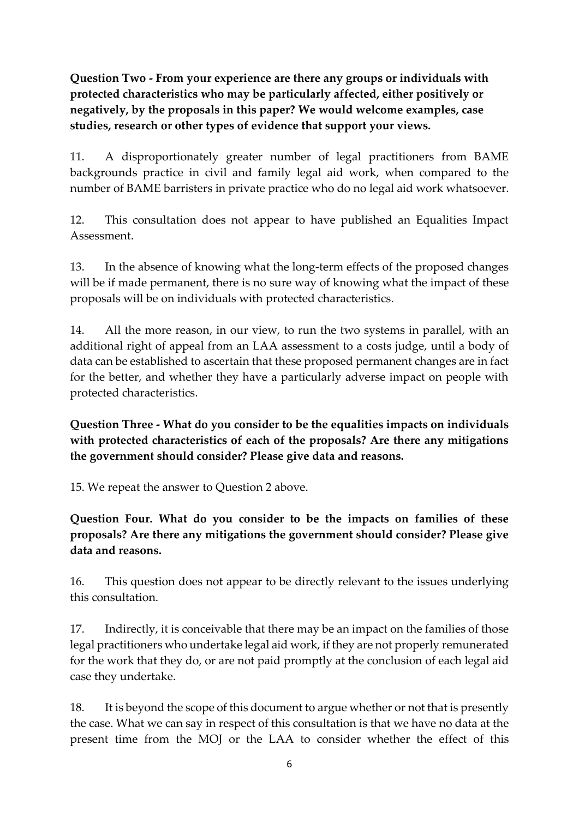**Question Two - From your experience are there any groups or individuals with protected characteristics who may be particularly affected, either positively or negatively, by the proposals in this paper? We would welcome examples, case studies, research or other types of evidence that support your views.** 

11. A disproportionately greater number of legal practitioners from BAME backgrounds practice in civil and family legal aid work, when compared to the number of BAME barristers in private practice who do no legal aid work whatsoever.

12. This consultation does not appear to have published an Equalities Impact Assessment.

13. In the absence of knowing what the long-term effects of the proposed changes will be if made permanent, there is no sure way of knowing what the impact of these proposals will be on individuals with protected characteristics.

14. All the more reason, in our view, to run the two systems in parallel, with an additional right of appeal from an LAA assessment to a costs judge, until a body of data can be established to ascertain that these proposed permanent changes are in fact for the better, and whether they have a particularly adverse impact on people with protected characteristics.

**Question Three - What do you consider to be the equalities impacts on individuals with protected characteristics of each of the proposals? Are there any mitigations the government should consider? Please give data and reasons.**

15. We repeat the answer to Question 2 above.

**Question Four. What do you consider to be the impacts on families of these proposals? Are there any mitigations the government should consider? Please give data and reasons.**

16. This question does not appear to be directly relevant to the issues underlying this consultation.

17. Indirectly, it is conceivable that there may be an impact on the families of those legal practitioners who undertake legal aid work, if they are not properly remunerated for the work that they do, or are not paid promptly at the conclusion of each legal aid case they undertake.

18. It is beyond the scope of this document to argue whether or not that is presently the case. What we can say in respect of this consultation is that we have no data at the present time from the MOJ or the LAA to consider whether the effect of this